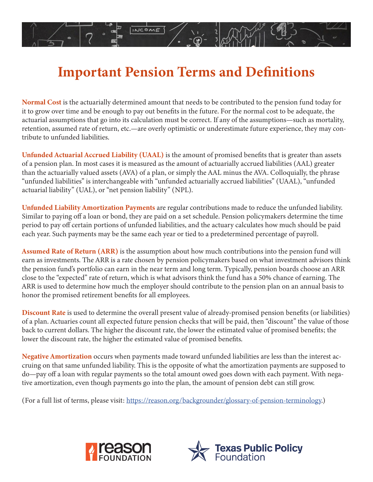## **Important Pension Terms and Definitions**

INCOME

**Normal Cost** is the actuarially determined amount that needs to be contributed to the pension fund today for it to grow over time and be enough to pay out benefits in the future. For the normal cost to be adequate, the actuarial assumptions that go into its calculation must be correct. If any of the assumptions—such as mortality, retention, assumed rate of return, etc.—are overly optimistic or underestimate future experience, they may contribute to unfunded liabilities.

**Unfunded Actuarial Accrued Liability (UAAL)** is the amount of promised benefits that is greater than assets of a pension plan. In most cases it is measured as the amount of actuarially accrued liabilities (AAL) greater than the actuarially valued assets (AVA) of a plan, or simply the AAL minus the AVA. Colloquially, the phrase "unfunded liabilities" is interchangeable with "unfunded actuarially accrued liabilities" (UAAL), "unfunded actuarial liability" (UAL), or "net pension liability" (NPL).

**Unfunded Liability Amortization Payments** are regular contributions made to reduce the unfunded liability. Similar to paying off a loan or bond, they are paid on a set schedule. Pension policymakers determine the time period to pay off certain portions of unfunded liabilities, and the actuary calculates how much should be paid each year. Such payments may be the same each year or tied to a predetermined percentage of payroll.

**Assumed Rate of Return (ARR)** is the assumption about how much contributions into the pension fund will earn as investments. The ARR is a rate chosen by pension policymakers based on what investment advisors think the pension fund's portfolio can earn in the near term and long term. Typically, pension boards choose an ARR close to the "expected" rate of return, which is what advisors think the fund has a 50% chance of earning. The ARR is used to determine how much the employer should contribute to the pension plan on an annual basis to honor the promised retirement benefits for all employees.

**Discount Rate** is used to determine the overall present value of already-promised pension benefits (or liabilities) of a plan. Actuaries count all expected future pension checks that will be paid, then "discount" the value of those back to current dollars. The higher the discount rate, the lower the estimated value of promised benefits; the lower the discount rate, the higher the estimated value of promised benefits.

**Negative Amortization** occurs when payments made toward unfunded liabilities are less than the interest accruing on that same unfunded liability. This is the opposite of what the amortization payments are supposed to do—pay off a loan with regular payments so the total amount owed goes down with each payment. With negative amortization, even though payments go into the plan, the amount of pension debt can still grow.

(For a full list of terms, please visit: [https://reason.org/backgrounder/glossary-of-pension-terminology.](https://reason.org/backgrounder/glossary-of-pension-terminology))